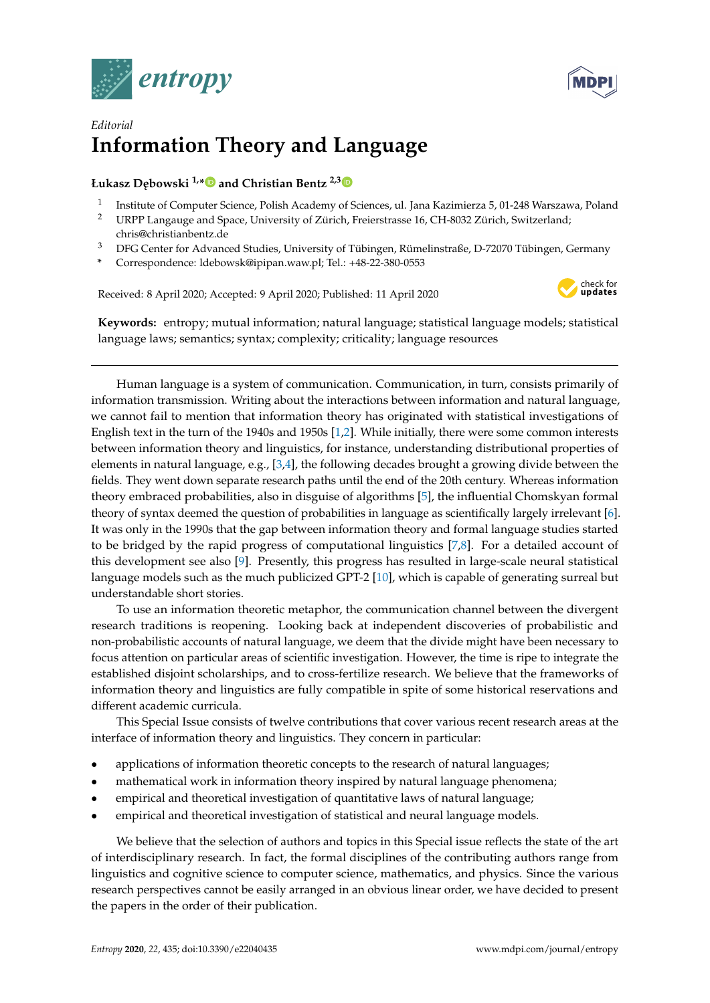



## *Editorial* **Information Theory and Language**

## **Łukasz Dębowski** <sup>1,</sup>**[\\*](https://orcid.org/0000-0001-7136-5283)** and Christian Bentz<sup>2,[3](https://orcid.org/0000-0001-6570-9326)</sup>

- 1 Institute of Computer Science, Polish Academy of Sciences, ul. Jana Kazimierza 5, 01-248 Warszawa, Poland
- <sup>2</sup> URPP Langauge and Space, University of Zürich, Freierstrasse 16, CH-8032 Zürich, Switzerland; chris@christianbentz.de
- <sup>3</sup> DFG Center for Advanced Studies, University of Tübingen, Rümelinstraße, D-72070 Tübingen, Germany
- **\*** Correspondence: ldebowsk@ipipan.waw.pl; Tel.: +48-22-380-0553

Received: 8 April 2020; Accepted: 9 April 2020; Published: 11 April 2020



**Keywords:** entropy; mutual information; natural language; statistical language models; statistical language laws; semantics; syntax; complexity; criticality; language resources

Human language is a system of communication. Communication, in turn, consists primarily of information transmission. Writing about the interactions between information and natural language, we cannot fail to mention that information theory has originated with statistical investigations of English text in the turn of the 1940s and 1950s [\[1](#page-4-0)[,2\]](#page-4-1). While initially, there were some common interests between information theory and linguistics, for instance, understanding distributional properties of elements in natural language, e.g., [\[3,](#page-4-2)[4\]](#page-4-3), the following decades brought a growing divide between the fields. They went down separate research paths until the end of the 20th century. Whereas information theory embraced probabilities, also in disguise of algorithms [\[5\]](#page-4-4), the influential Chomskyan formal theory of syntax deemed the question of probabilities in language as scientifically largely irrelevant [\[6\]](#page-4-5). It was only in the 1990s that the gap between information theory and formal language studies started to be bridged by the rapid progress of computational linguistics [\[7,](#page-4-6)[8\]](#page-4-7). For a detailed account of this development see also [\[9\]](#page-4-8). Presently, this progress has resulted in large-scale neural statistical language models such as the much publicized GPT-2 [\[10\]](#page-4-9), which is capable of generating surreal but understandable short stories.

To use an information theoretic metaphor, the communication channel between the divergent research traditions is reopening. Looking back at independent discoveries of probabilistic and non-probabilistic accounts of natural language, we deem that the divide might have been necessary to focus attention on particular areas of scientific investigation. However, the time is ripe to integrate the established disjoint scholarships, and to cross-fertilize research. We believe that the frameworks of information theory and linguistics are fully compatible in spite of some historical reservations and different academic curricula.

This Special Issue consists of twelve contributions that cover various recent research areas at the interface of information theory and linguistics. They concern in particular:

- applications of information theoretic concepts to the research of natural languages;
- mathematical work in information theory inspired by natural language phenomena;
- empirical and theoretical investigation of quantitative laws of natural language;
- empirical and theoretical investigation of statistical and neural language models.

We believe that the selection of authors and topics in this Special issue reflects the state of the art of interdisciplinary research. In fact, the formal disciplines of the contributing authors range from linguistics and cognitive science to computer science, mathematics, and physics. Since the various research perspectives cannot be easily arranged in an obvious linear order, we have decided to present the papers in the order of their publication.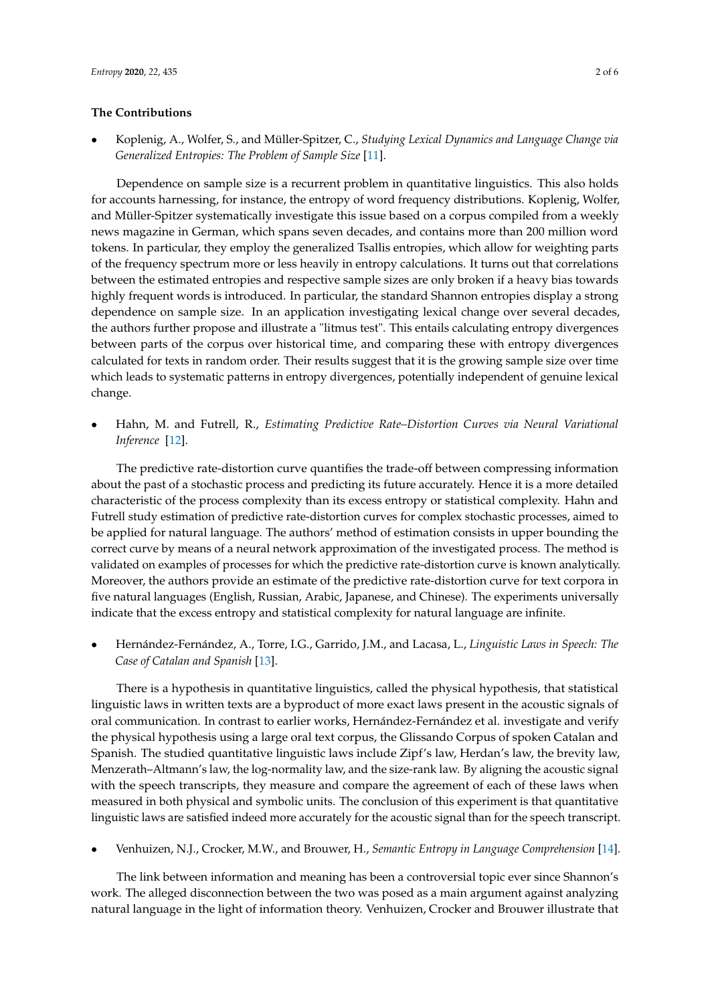## **The Contributions**

• Koplenig, A., Wolfer, S., and Müller-Spitzer, C., *Studying Lexical Dynamics and Language Change via Generalized Entropies: The Problem of Sample Size* [\[11\]](#page-4-10).

Dependence on sample size is a recurrent problem in quantitative linguistics. This also holds for accounts harnessing, for instance, the entropy of word frequency distributions. Koplenig, Wolfer, and Müller-Spitzer systematically investigate this issue based on a corpus compiled from a weekly news magazine in German, which spans seven decades, and contains more than 200 million word tokens. In particular, they employ the generalized Tsallis entropies, which allow for weighting parts of the frequency spectrum more or less heavily in entropy calculations. It turns out that correlations between the estimated entropies and respective sample sizes are only broken if a heavy bias towards highly frequent words is introduced. In particular, the standard Shannon entropies display a strong dependence on sample size. In an application investigating lexical change over several decades, the authors further propose and illustrate a "litmus test". This entails calculating entropy divergences between parts of the corpus over historical time, and comparing these with entropy divergences calculated for texts in random order. Their results suggest that it is the growing sample size over time which leads to systematic patterns in entropy divergences, potentially independent of genuine lexical change.

• Hahn, M. and Futrell, R., *Estimating Predictive Rate–Distortion Curves via Neural Variational Inference* [\[12\]](#page-4-11).

The predictive rate-distortion curve quantifies the trade-off between compressing information about the past of a stochastic process and predicting its future accurately. Hence it is a more detailed characteristic of the process complexity than its excess entropy or statistical complexity. Hahn and Futrell study estimation of predictive rate-distortion curves for complex stochastic processes, aimed to be applied for natural language. The authors' method of estimation consists in upper bounding the correct curve by means of a neural network approximation of the investigated process. The method is validated on examples of processes for which the predictive rate-distortion curve is known analytically. Moreover, the authors provide an estimate of the predictive rate-distortion curve for text corpora in five natural languages (English, Russian, Arabic, Japanese, and Chinese). The experiments universally indicate that the excess entropy and statistical complexity for natural language are infinite.

• Hernández-Fernández, A., Torre, I.G., Garrido, J.M., and Lacasa, L., *Linguistic Laws in Speech: The Case of Catalan and Spanish* [\[13\]](#page-4-12).

There is a hypothesis in quantitative linguistics, called the physical hypothesis, that statistical linguistic laws in written texts are a byproduct of more exact laws present in the acoustic signals of oral communication. In contrast to earlier works, Hernández-Fernández et al. investigate and verify the physical hypothesis using a large oral text corpus, the Glissando Corpus of spoken Catalan and Spanish. The studied quantitative linguistic laws include Zipf's law, Herdan's law, the brevity law, Menzerath–Altmann's law, the log-normality law, and the size-rank law. By aligning the acoustic signal with the speech transcripts, they measure and compare the agreement of each of these laws when measured in both physical and symbolic units. The conclusion of this experiment is that quantitative linguistic laws are satisfied indeed more accurately for the acoustic signal than for the speech transcript.

• Venhuizen, N.J., Crocker, M.W., and Brouwer, H., *Semantic Entropy in Language Comprehension* [\[14\]](#page-4-13).

The link between information and meaning has been a controversial topic ever since Shannon's work. The alleged disconnection between the two was posed as a main argument against analyzing natural language in the light of information theory. Venhuizen, Crocker and Brouwer illustrate that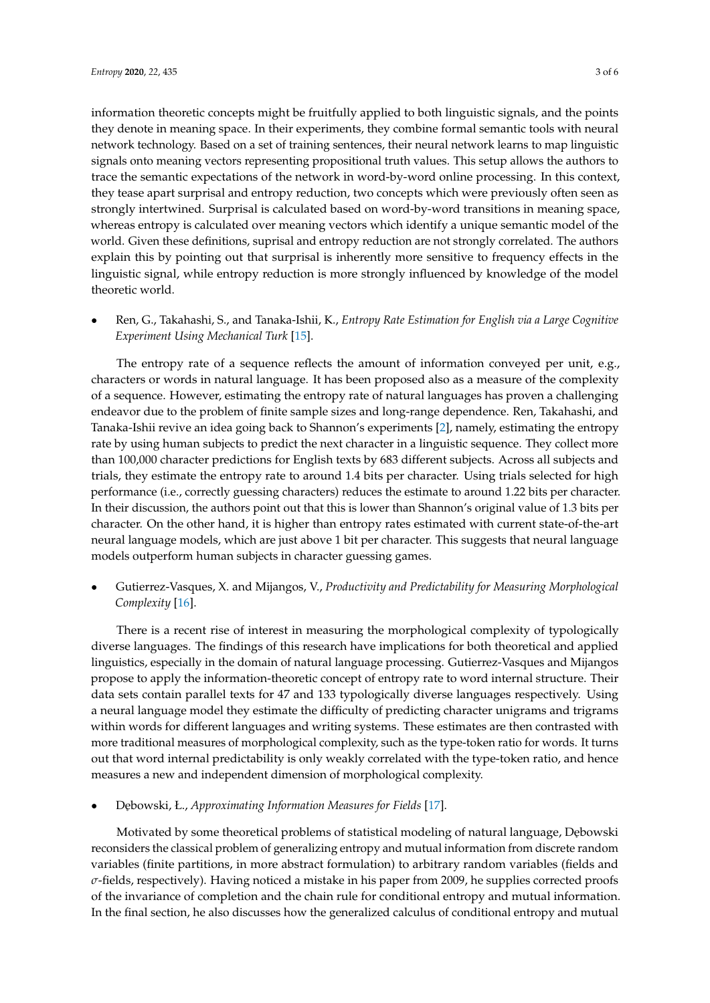information theoretic concepts might be fruitfully applied to both linguistic signals, and the points they denote in meaning space. In their experiments, they combine formal semantic tools with neural network technology. Based on a set of training sentences, their neural network learns to map linguistic signals onto meaning vectors representing propositional truth values. This setup allows the authors to trace the semantic expectations of the network in word-by-word online processing. In this context, they tease apart surprisal and entropy reduction, two concepts which were previously often seen as strongly intertwined. Surprisal is calculated based on word-by-word transitions in meaning space, whereas entropy is calculated over meaning vectors which identify a unique semantic model of the world. Given these definitions, suprisal and entropy reduction are not strongly correlated. The authors explain this by pointing out that surprisal is inherently more sensitive to frequency effects in the linguistic signal, while entropy reduction is more strongly influenced by knowledge of the model theoretic world.

• Ren, G., Takahashi, S., and Tanaka-Ishii, K., *Entropy Rate Estimation for English via a Large Cognitive Experiment Using Mechanical Turk* [\[15\]](#page-4-14).

The entropy rate of a sequence reflects the amount of information conveyed per unit, e.g., characters or words in natural language. It has been proposed also as a measure of the complexity of a sequence. However, estimating the entropy rate of natural languages has proven a challenging endeavor due to the problem of finite sample sizes and long-range dependence. Ren, Takahashi, and Tanaka-Ishii revive an idea going back to Shannon's experiments [\[2\]](#page-4-1), namely, estimating the entropy rate by using human subjects to predict the next character in a linguistic sequence. They collect more than 100,000 character predictions for English texts by 683 different subjects. Across all subjects and trials, they estimate the entropy rate to around 1.4 bits per character. Using trials selected for high performance (i.e., correctly guessing characters) reduces the estimate to around 1.22 bits per character. In their discussion, the authors point out that this is lower than Shannon's original value of 1.3 bits per character. On the other hand, it is higher than entropy rates estimated with current state-of-the-art neural language models, which are just above 1 bit per character. This suggests that neural language models outperform human subjects in character guessing games.

• Gutierrez-Vasques, X. and Mijangos, V., *Productivity and Predictability for Measuring Morphological Complexity* [\[16\]](#page-4-15).

There is a recent rise of interest in measuring the morphological complexity of typologically diverse languages. The findings of this research have implications for both theoretical and applied linguistics, especially in the domain of natural language processing. Gutierrez-Vasques and Mijangos propose to apply the information-theoretic concept of entropy rate to word internal structure. Their data sets contain parallel texts for 47 and 133 typologically diverse languages respectively. Using a neural language model they estimate the difficulty of predicting character unigrams and trigrams within words for different languages and writing systems. These estimates are then contrasted with more traditional measures of morphological complexity, such as the type-token ratio for words. It turns out that word internal predictability is only weakly correlated with the type-token ratio, and hence measures a new and independent dimension of morphological complexity.

Dębowski, Ł., *Approximating Information Measures for Fields* [\[17\]](#page-5-0).

Motivated by some theoretical problems of statistical modeling of natural language, Debowski reconsiders the classical problem of generalizing entropy and mutual information from discrete random variables (finite partitions, in more abstract formulation) to arbitrary random variables (fields and *σ*-fields, respectively). Having noticed a mistake in his paper from 2009, he supplies corrected proofs of the invariance of completion and the chain rule for conditional entropy and mutual information. In the final section, he also discusses how the generalized calculus of conditional entropy and mutual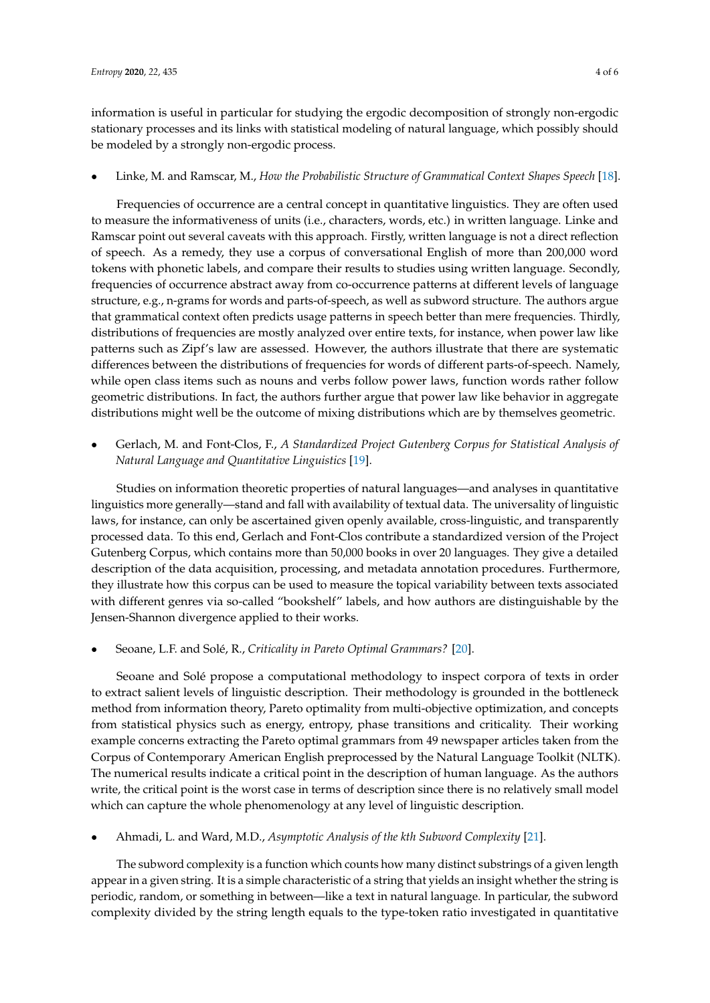information is useful in particular for studying the ergodic decomposition of strongly non-ergodic stationary processes and its links with statistical modeling of natural language, which possibly should be modeled by a strongly non-ergodic process.

• Linke, M. and Ramscar, M., *How the Probabilistic Structure of Grammatical Context Shapes Speech* [\[18\]](#page-5-1).

Frequencies of occurrence are a central concept in quantitative linguistics. They are often used to measure the informativeness of units (i.e., characters, words, etc.) in written language. Linke and Ramscar point out several caveats with this approach. Firstly, written language is not a direct reflection of speech. As a remedy, they use a corpus of conversational English of more than 200,000 word tokens with phonetic labels, and compare their results to studies using written language. Secondly, frequencies of occurrence abstract away from co-occurrence patterns at different levels of language structure, e.g., n-grams for words and parts-of-speech, as well as subword structure. The authors argue that grammatical context often predicts usage patterns in speech better than mere frequencies. Thirdly, distributions of frequencies are mostly analyzed over entire texts, for instance, when power law like patterns such as Zipf's law are assessed. However, the authors illustrate that there are systematic differences between the distributions of frequencies for words of different parts-of-speech. Namely, while open class items such as nouns and verbs follow power laws, function words rather follow geometric distributions. In fact, the authors further argue that power law like behavior in aggregate distributions might well be the outcome of mixing distributions which are by themselves geometric.

• Gerlach, M. and Font-Clos, F., *A Standardized Project Gutenberg Corpus for Statistical Analysis of Natural Language and Quantitative Linguistics* [\[19\]](#page-5-2).

Studies on information theoretic properties of natural languages—and analyses in quantitative linguistics more generally—stand and fall with availability of textual data. The universality of linguistic laws, for instance, can only be ascertained given openly available, cross-linguistic, and transparently processed data. To this end, Gerlach and Font-Clos contribute a standardized version of the Project Gutenberg Corpus, which contains more than 50,000 books in over 20 languages. They give a detailed description of the data acquisition, processing, and metadata annotation procedures. Furthermore, they illustrate how this corpus can be used to measure the topical variability between texts associated with different genres via so-called "bookshelf" labels, and how authors are distinguishable by the Jensen-Shannon divergence applied to their works.

• Seoane, L.F. and Solé, R., *Criticality in Pareto Optimal Grammars?* [\[20\]](#page-5-3).

Seoane and Solé propose a computational methodology to inspect corpora of texts in order to extract salient levels of linguistic description. Their methodology is grounded in the bottleneck method from information theory, Pareto optimality from multi-objective optimization, and concepts from statistical physics such as energy, entropy, phase transitions and criticality. Their working example concerns extracting the Pareto optimal grammars from 49 newspaper articles taken from the Corpus of Contemporary American English preprocessed by the Natural Language Toolkit (NLTK). The numerical results indicate a critical point in the description of human language. As the authors write, the critical point is the worst case in terms of description since there is no relatively small model which can capture the whole phenomenology at any level of linguistic description.

• Ahmadi, L. and Ward, M.D., *Asymptotic Analysis of the kth Subword Complexity* [\[21\]](#page-5-4).

The subword complexity is a function which counts how many distinct substrings of a given length appear in a given string. It is a simple characteristic of a string that yields an insight whether the string is periodic, random, or something in between—like a text in natural language. In particular, the subword complexity divided by the string length equals to the type-token ratio investigated in quantitative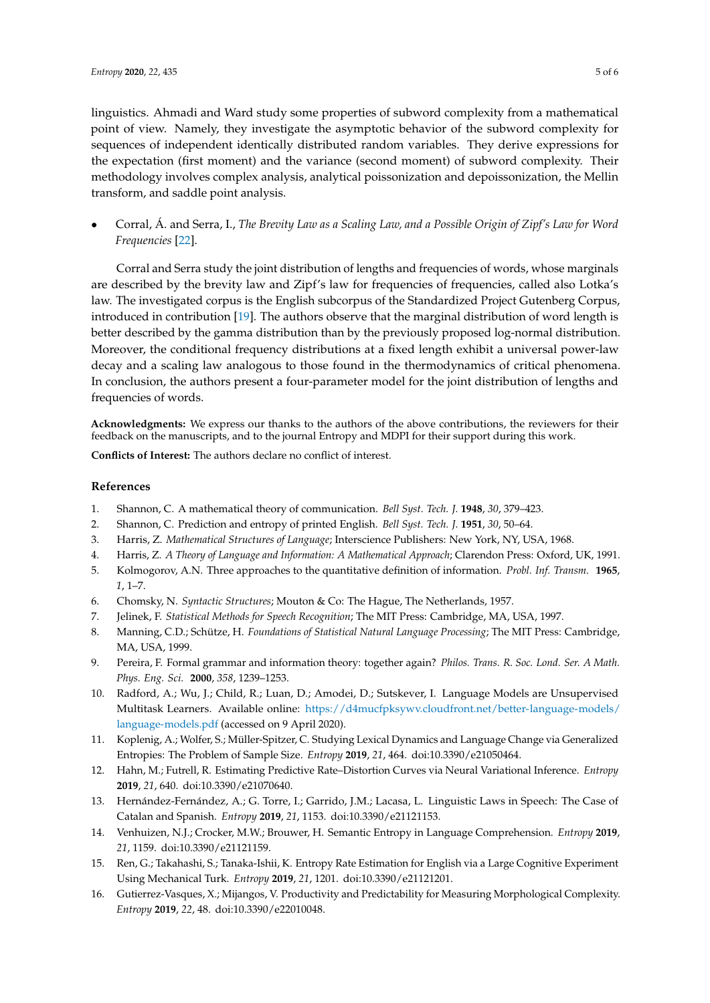linguistics. Ahmadi and Ward study some properties of subword complexity from a mathematical point of view. Namely, they investigate the asymptotic behavior of the subword complexity for sequences of independent identically distributed random variables. They derive expressions for the expectation (first moment) and the variance (second moment) of subword complexity. Their methodology involves complex analysis, analytical poissonization and depoissonization, the Mellin transform, and saddle point analysis.

• Corral, Á. and Serra, I., *The Brevity Law as a Scaling Law, and a Possible Origin of Zipf's Law for Word Frequencies* [\[22\]](#page-5-5).

Corral and Serra study the joint distribution of lengths and frequencies of words, whose marginals are described by the brevity law and Zipf's law for frequencies of frequencies, called also Lotka's law. The investigated corpus is the English subcorpus of the Standardized Project Gutenberg Corpus, introduced in contribution [\[19\]](#page-5-2). The authors observe that the marginal distribution of word length is better described by the gamma distribution than by the previously proposed log-normal distribution. Moreover, the conditional frequency distributions at a fixed length exhibit a universal power-law decay and a scaling law analogous to those found in the thermodynamics of critical phenomena. In conclusion, the authors present a four-parameter model for the joint distribution of lengths and frequencies of words.

**Acknowledgments:** We express our thanks to the authors of the above contributions, the reviewers for their feedback on the manuscripts, and to the journal Entropy and MDPI for their support during this work.

**Conflicts of Interest:** The authors declare no conflict of interest.

## **References**

- <span id="page-4-0"></span>1. Shannon, C. A mathematical theory of communication. *Bell Syst. Tech. J.* **1948**, *30*, 379–423.
- <span id="page-4-1"></span>2. Shannon, C. Prediction and entropy of printed English. *Bell Syst. Tech. J.* **1951**, *30*, 50–64.
- <span id="page-4-2"></span>3. Harris, Z. *Mathematical Structures of Language*; Interscience Publishers: New York, NY, USA, 1968.
- <span id="page-4-3"></span>4. Harris, Z. *A Theory of Language and Information: A Mathematical Approach*; Clarendon Press: Oxford, UK, 1991.
- <span id="page-4-4"></span>5. Kolmogorov, A.N. Three approaches to the quantitative definition of information. *Probl. Inf. Transm.* **1965**, *1*, 1–7.
- <span id="page-4-5"></span>6. Chomsky, N. *Syntactic Structures*; Mouton & Co: The Hague, The Netherlands, 1957.
- <span id="page-4-6"></span>7. Jelinek, F. *Statistical Methods for Speech Recognition*; The MIT Press: Cambridge, MA, USA, 1997.
- <span id="page-4-7"></span>8. Manning, C.D.; Schütze, H. *Foundations of Statistical Natural Language Processing*; The MIT Press: Cambridge, MA, USA, 1999.
- <span id="page-4-8"></span>9. Pereira, F. Formal grammar and information theory: together again? *Philos. Trans. R. Soc. Lond. Ser. A Math. Phys. Eng. Sci.* **2000**, *358*, 1239–1253.
- <span id="page-4-9"></span>10. Radford, A.; Wu, J.; Child, R.; Luan, D.; Amodei, D.; Sutskever, I. Language Models are Unsupervised Multitask Learners. Available online: [https://d4mucfpksywv.cloudfront.net/better-language-models/](https://d4mucfpksywv.cloudfront.net/better-language-models/language-models.pdf) [language-models.pdf](https://d4mucfpksywv.cloudfront.net/better-language-models/language-models.pdf) (accessed on 9 April 2020).
- <span id="page-4-10"></span>11. Koplenig, A.; Wolfer, S.; Müller-Spitzer, C. Studying Lexical Dynamics and Language Change via Generalized Entropies: The Problem of Sample Size. *Entropy* **2019**, *21*, 464. doi[:10.3390/e21050464.](https://doi.org/10.3390/e21050464)
- <span id="page-4-11"></span>12. Hahn, M.; Futrell, R. Estimating Predictive Rate–Distortion Curves via Neural Variational Inference. *Entropy* **2019**, *21*, 640. doi[:10.3390/e21070640.](https://doi.org/10.3390/e21070640)
- <span id="page-4-12"></span>13. Hernández-Fernández, A.; G. Torre, I.; Garrido, J.M.; Lacasa, L. Linguistic Laws in Speech: The Case of Catalan and Spanish. *Entropy* **2019**, *21*, 1153. doi[:10.3390/e21121153.](https://doi.org/10.3390/e21121153)
- <span id="page-4-13"></span>14. Venhuizen, N.J.; Crocker, M.W.; Brouwer, H. Semantic Entropy in Language Comprehension. *Entropy* **2019**, *21*, 1159. doi[:10.3390/e21121159.](https://doi.org/10.3390/e21121159)
- <span id="page-4-14"></span>15. Ren, G.; Takahashi, S.; Tanaka-Ishii, K. Entropy Rate Estimation for English via a Large Cognitive Experiment Using Mechanical Turk. *Entropy* **2019**, *21*, 1201. doi[:10.3390/e21121201.](https://doi.org/10.3390/e21121201)
- <span id="page-4-15"></span>16. Gutierrez-Vasques, X.; Mijangos, V. Productivity and Predictability for Measuring Morphological Complexity. *Entropy* **2019**, *22*, 48. doi[:10.3390/e22010048.](https://doi.org/10.3390/e22010048)